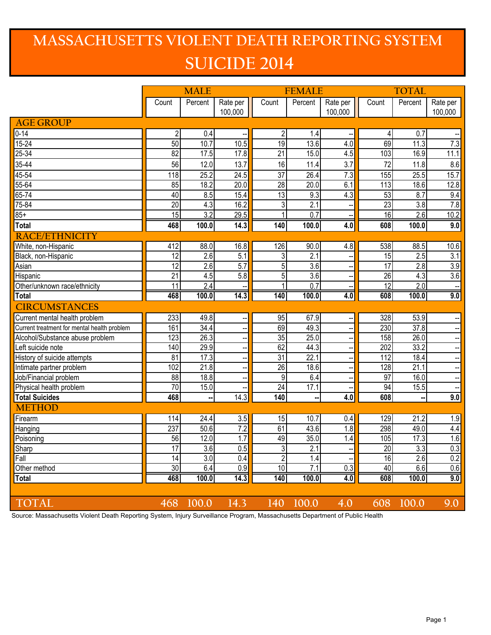## **MASSACHUSETTS VIOLENT DEATH REPORTING SYSTEM SUICIDE 2014**

|                                             | <b>MALE</b>     |                  |                          | <b>FEMALE</b>   |                  |                          | <b>TOTAL</b>    |                  |                          |
|---------------------------------------------|-----------------|------------------|--------------------------|-----------------|------------------|--------------------------|-----------------|------------------|--------------------------|
|                                             | Count           | Percent          | Rate per                 | Count           | Percent          | Rate per                 | Count           | Percent          | Rate per                 |
|                                             |                 |                  | 100,000                  |                 |                  | 100,000                  |                 |                  | 100,000                  |
| <b>AGE GROUP</b>                            |                 |                  |                          |                 |                  |                          |                 |                  |                          |
| $0 - 14$                                    | $\overline{c}$  | 0.4              |                          | $\overline{c}$  | 1.4              |                          | 4               | 0.7              |                          |
| $15 - 24$                                   | 50              | 10.7             | 10.5                     | 19              | 13.6             | 4.0                      | 69              | 11.3             | 7.3                      |
| $25 - 34$                                   | 82              | 17.5             | 17.8                     | $\overline{21}$ | 15.0             | 4.5                      | 103             | 16.9             | 11.1                     |
| 35-44                                       | 56              | 12.0             | 13.7                     | 16              | 11.4             | 3.7                      | 72              | 11.8             | 8.6                      |
| $45 - 54$                                   | 118             | 25.2             | 24.5                     | $\overline{37}$ | 26.4             | 7.3                      | 155             | 25.5             | 15.7                     |
| $55 - 64$                                   | 85              | 18.2             | 20.0                     | 28              | 20.0             | 6.1                      | 113             | 18.6             | 12.8                     |
| 65-74                                       | 40              | 8.5              | 15.4                     | 13              | 9.3              | 4.3                      | 53              | 8.7              | 9.4                      |
| 75-84                                       | $\overline{20}$ | 4.3              | 16.2                     | 3               | 2.1              |                          | $\overline{23}$ | 3.8              | $\overline{7.8}$         |
| $85+$                                       | $\overline{15}$ | $\overline{3.2}$ | 29.5                     | 1               | $\overline{0.7}$ |                          | 16              | $\overline{2.6}$ | 10.2                     |
| <b>Total</b>                                | 468             | 100.0            | 14.3                     | 140             | 100.0            | 4.0                      | 608             | 100.0            | 9.0                      |
| <b>RACE/ETHNICITY</b>                       |                 |                  |                          |                 |                  |                          |                 |                  |                          |
| White, non-Hispanic                         | 412             | 88.0             | 16.8                     | 126             | 90.0             | 4.8                      | 538             | 88.5             | 10.6                     |
| Black, non-Hispanic                         | 12              | $\overline{2.6}$ | 5.1                      | 3               | 2.1              |                          | 15              | 2.5              | 3.1                      |
| Asian                                       | $\overline{12}$ | $\overline{2.6}$ | 5.7                      | $\overline{5}$  | $\overline{3.6}$ |                          | 17              | $\overline{2.8}$ | 3.9                      |
| Hispanic                                    | $\overline{21}$ | 4.5              | 5.8                      | 5               | $\overline{3.6}$ |                          | $\overline{26}$ | 4.3              | 3.6                      |
| Other/unknown race/ethnicity                | $\overline{11}$ | $\overline{2.4}$ |                          | 1               | $\overline{0.7}$ |                          | 12              | 2.0              |                          |
| <b>Total</b>                                | 468             | 100.0            | 14.3                     | 140             | 100.0            | 4.0                      | 608             | 100.0            | 9.0                      |
| <b>CIRCUMSTANCES</b>                        |                 |                  |                          |                 |                  |                          |                 |                  |                          |
| Current mental health problem               | 233             | 49.8             | ÷                        | 95              | 67.9             |                          | 328             | 53.9             |                          |
| Current treatment for mental health problem | 161             | 34.4             | ÷                        | 69              | 49.3             |                          | 230             | 37.8             |                          |
| Alcohol/Substance abuse problem             | 123             | 26.3             | $\overline{\phantom{a}}$ | 35              | 25.0             |                          | 158             | 26.0             | $\overline{\phantom{a}}$ |
| Left suicide note                           | 140             | 29.9             | $\overline{\phantom{a}}$ | 62              | 44.3             |                          | 202             | 33.2             | $\overline{\phantom{a}}$ |
| History of suicide attempts                 | 81              | 17.3             | $\overline{\phantom{a}}$ | $\overline{31}$ | 22.1             |                          | 112             | 18.4             | $\overline{\phantom{a}}$ |
| Intimate partner problem                    | 102             | 21.8             | --                       | 26              | 18.6             |                          | 128             | 21.1             | $\overline{\phantom{a}}$ |
| Job/Financial problem                       | 88              | 18.8             | --                       | 9               | 6.4              |                          | 97              | 16.0             | $\overline{a}$           |
| Physical health problem                     | 70              | 15.0             |                          | $\overline{24}$ | 17.1             |                          | 94              | 15.5             |                          |
| <b>Total Suicides</b>                       | 468             |                  | 14.3                     | 140             |                  | 4.0                      | 608             |                  | 9.0                      |
| <b>METHOD</b>                               |                 |                  |                          |                 |                  |                          |                 |                  |                          |
| Firearm                                     | 114             | 24.4             | 3.5                      | 15              | 10.7             | 0.4                      | 129             | 21.2             | 1.9                      |
| Hanging                                     | 237             | 50.6             | 7.2                      | 61              | 43.6             | $\overline{1.8}$         | 298             | 49.0             | $4.4\,$                  |
| Poisoning                                   | 56              | 12.0             | $\overline{1.7}$         | 49              | 35.0             | 1.4                      | 105             | 17.3             | 1.6                      |
| Sharp                                       | 17              | 3.6              | 0.5                      | 3               | 2.1              | $\overline{\phantom{a}}$ | $\overline{20}$ | 3.3              | 0.3                      |
| Fall                                        | 14              | $\overline{3.0}$ | 0.4                      | $\overline{2}$  | $\overline{1.4}$ |                          | 16              | $\overline{2.6}$ | 0.2                      |
| Other method                                | 30              | 6.4              | 0.9                      | 10              | 7.1              | 0.3                      | 40              | 6.6              | 0.6                      |
| <b>Total</b>                                | 468             | 100.0            | 14.3                     | 140             | 100.0            | 4.0                      | 608             | 100.0            | 9.0                      |
|                                             |                 |                  |                          |                 |                  |                          |                 |                  |                          |
| <b>TOTAL</b>                                | 468             | 100.0            | 14.3                     | 140             | 100.0            | 4.0                      | 608             | 100.0            | 9.0                      |

Source: Massachusetts Violent Death Reporting System, Injury Surveillance Program, Massachusetts Department of Public Health